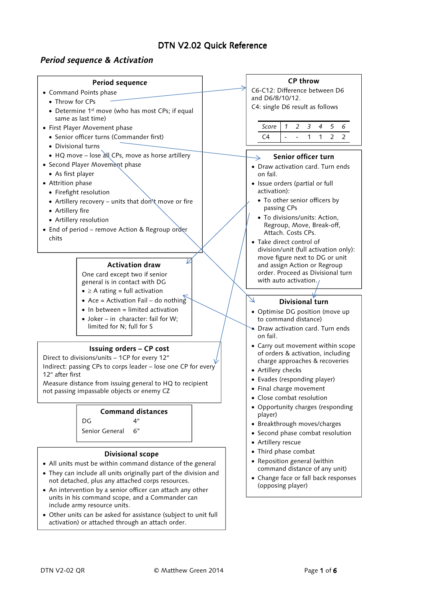# DTN V2.02 Ouick Reference

# **Period sequence & Activation**

# **Period sequence**

- Command Points phase
	- Throw for CPs
	- Determine 1<sup>st</sup> move (who has most CPs; if equal same as last time)
- First Player Movement phase
	- Senior officer turns (Commander first)
	- Divisional turns
	- HQ move lose all CPs, move as horse artillery
- Second Player Movement phase
- As first player
- Attrition phase
	- Firefight resolution
	- Artillery recovery units that don't move or fire
	- Artillery fire
	- Artillery resolution
- End of period remove Action & Regroup order chits

### **Activation draw**

 $\overline{\nu}$ 

One card except two if senior general is in contact with DG

- $\geq$  A rating = full activation
- Ace = Activation Fail do nothing
- In between = limited activation
- Joker in character: fail for W: limited for N; full for S

## **Issuing orders – CP cost**

Direct to divisions/units – 1CP for every 12″

Indirect: passing CPs to corps leader – lose one CP for every 12″ after first

Measure distance from issuing general to HQ to recipient not passing impassable objects or enemy CZ

## **Command distances**

 $DG \t 4''$ 

Senior General 6"

## **Divisional scope**

- All units must be within command distance of the general
- They can include all units originally part of the division and not detached, plus any attached corps resources.
- An intervention by a senior officer can attach any other units in his command scope, and a Commander can include army resource units.
- Other units can be asked for assistance (subject to unit full activation) or attached through an attach order.

# **CP throw**

C6-C12: Difference between D6 and D6/8/10/12. C4: single D6 result as follows

| <i>Score</i> |  |  |  |  |
|--------------|--|--|--|--|
|              |  |  |  |  |

## **Senior officer turn**

- Draw activation card. Turn ends on fail.
- Issue orders (partial or full activation):
	- To other senior officers by passing CPs
	- To divisions/units: Action, Regroup, Move, Break-off, Attach. Costs CPs.
- Take direct control of division/unit (full activation only): move figure next to DG or unit and assign Action or Regroup order. Proceed as Divisional turn with auto activation.

## **Divisional turn**

- Optimise DG position (move up to command distance)
- Draw activation card. Turn ends on fail.
- Carry out movement within scope of orders & activation, including charge approaches & recoveries
- Artillery checks

 $\vee$ 

- Evades (responding player)
- Final charge movement
- Close combat resolution
- Opportunity charges (responding player)
- Breakthrough moves/charges
- Second phase combat resolution
- Artillery rescue
- Third phase combat
- Reposition general (within command distance of any unit)
- Change face or fall back responses (opposing player)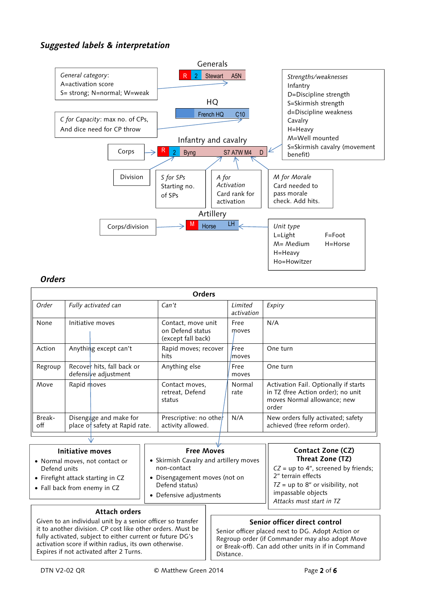# **Suggested labels & interpretation**



## **Orders**

| <b>Orders</b> |                     |                                                          |                                                              |                       |                                                                                                                     |
|---------------|---------------------|----------------------------------------------------------|--------------------------------------------------------------|-----------------------|---------------------------------------------------------------------------------------------------------------------|
| Order         | Fully activated can |                                                          | Can't                                                        | Limited<br>activation | Expiry                                                                                                              |
| None          |                     | Initiative moves                                         | Contact, move unit<br>on Defend status<br>(except fall back) | Free<br>moves         | N/A                                                                                                                 |
| Action        |                     | Anything except can't                                    | Rapid moves; recover<br>hits                                 | Free<br>moves         | One turn                                                                                                            |
| Regroup       |                     | Recover hits, fall back or<br>defensive adjustment       | Anything else                                                | Free<br>moves         | One turn                                                                                                            |
| Move          | Rapid moves         |                                                          | Contact moves,<br>retreat, Defend<br>status                  | Normal<br>rate        | Activation Fail. Optionally if starts<br>in TZ (free Action order); no unit<br>moves Normal allowance; new<br>order |
| Break-<br>off |                     | Disengage and make for<br>place of safety at Rapid rate. | Prescriptive: no other<br>activity allowed.                  | N/A                   | New orders fully activated; safety<br>achieved (free reform order).                                                 |
|               |                     | $\sim$ 1 $\sim$                                          |                                                              |                       |                                                                                                                     |

# **Initiative moves**

- Normal moves, not contact or Defend units
- Firefight attack starting in CZ
- Fall back from enemy in CZ

## **Free Moves**

- Skirmish Cavalry and artillery moves non-contact
- Disengagement moves (not on Defend status)
- Defensive adjustments

# **Contact Zone (CZ) Threat Zone (TZ)**

*CZ* = up to 4″, screened by friends; 2″ terrain effects *TZ* = up to 8″ or visibility, not impassable objects *Attacks must start in TZ* 

## **Attach orders**

 Expires if not activated after 2 Turns. Given to an individual unit by a senior officer so transfer it to another division. CP cost like other orders. Must be fully activated, subject to either current or future DG's activation score if within radius, its own otherwise.

## **Senior officer direct control**

Senior officer placed next to DG. Adopt Action or Regroup order (if Commander may also adopt Move or Break-off). Can add other units in if in Command Distance.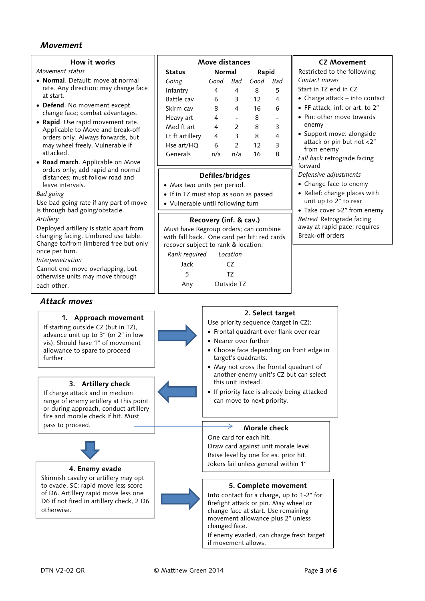## **Movement**

#### **How it works**

*Movement status* 

- **Normal**. Default: move at normal rate. Any direction; may change face at start.
- **Defend**. No movement except change face; combat advantages.
- **Rapid**. Use rapid movement rate. Applicable to Move and break-off orders only. Always forwards, but may wheel freely. Vulnerable if attacked.
- **Road march**. Applicable on Move orders only; add rapid and normal distances; must follow road and leave intervals.

*Bad going* 

Use bad going rate if any part of move is through bad going/obstacle. *Artillery* 

Deployed artillery is static apart from changing facing. Limbered use table. Change to/from limbered free but only once per turn.

*Interpenetration* 

Cannot end move overlapping, but otherwise units may move through each other.

## **Attack moves**



# **Defiles/bridges**

- Max two units per period.
- If in TZ must stop as soon as passed
- Vulnerable until following turn

## **Recovery (inf. & cav.)**

Must have Regroup orders; can combine with fall back. One card per hit: red cards recover subject to rank & location:

| Rank required | Location      |  |
|---------------|---------------|--|
| Jack          | $\mathcal{C}$ |  |
| 5             | T7            |  |
| Any           | Outside TZ    |  |

## **CZ Movement**

Restricted to the following: *Contact moves* 

- Start in TZ end in CZ
- Charge attack into contact
- FF attack, inf. or art. to 2″
- Pin: other move towards enemy
- Support move: alongside attack or pin but not <2″ from enemy

*Fall back* retrograde facing forward

*Defensive adjustments* 

- Change face to enemy
- Relief: change places with unit up to 2″ to rear

• Take cover >2″ from enemy *Retreat* Retrograde facing away at rapid pace; requires Break-off orders

| Attack moves                                                                                                                                                                                      |                                                                                                                                                                                                                                                                            |
|---------------------------------------------------------------------------------------------------------------------------------------------------------------------------------------------------|----------------------------------------------------------------------------------------------------------------------------------------------------------------------------------------------------------------------------------------------------------------------------|
| 1. Approach movement<br>If starting outside CZ (but in TZ),<br>advance unit up to 3" (or 2" in low<br>vis). Should have 1" of movement<br>allowance to spare to proceed<br>further.               | 2. Select target<br>Use priority sequence (target in CZ):<br>• Frontal quadrant over flank over rear<br>• Nearer over further<br>• Choose face depending on front edge in<br>target's quadrants.<br>• May not cross the frontal quadrant of                                |
| 3. Artillery check<br>If charge attack and in medium<br>range of enemy artillery at this point<br>or during approach, conduct artillery<br>fire and morale check if hit. Must<br>pass to proceed. | another enemy unit's CZ but can select<br>this unit instead.<br>• If priority face is already being attacked<br>can move to next priority.<br>Morale check                                                                                                                 |
|                                                                                                                                                                                                   | One card for each hit.<br>Draw card against unit morale level.<br>Raise level by one for ea. prior hit.<br>Jokers fail unless general within 1"                                                                                                                            |
| 4. Enemy evade<br>Skirmish cavalry or artillery may opt<br>to evade. SC: rapid move less score<br>of D6. Artillery rapid move less one<br>D6 if not fired in artillery check, 2 D6<br>otherwise.  | 5. Complete movement<br>Into contact for a charge, up to 1-2" for<br>firefight attack or pin. May wheel or<br>change face at start. Use remaining<br>movement allowance plus 2" unless<br>changed face.<br>If enemy evaded, can charge fresh target<br>if movement allows. |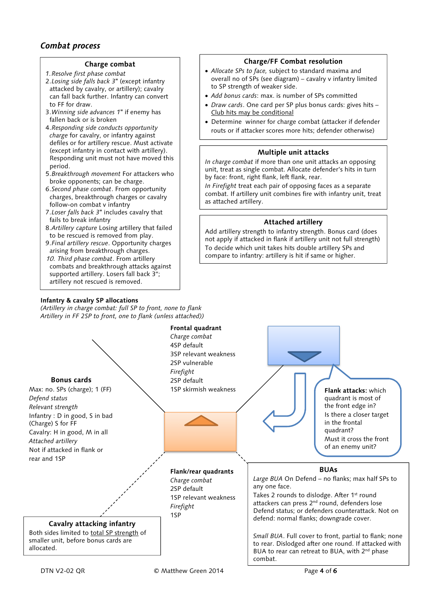# **Combat process**

### **Charge combat**

- *1.Resolve first phase combat*
- 2.*Losing side falls back 3*ʺ (except infantry attacked by cavalry, or artillery); cavalry can fall back further. Infantry can convert to FF for draw.
- 3.*Winning side advances 1*ʺ if enemy has fallen back or is broken
- 4.*Responding side conducts opportunity charge* for cavalry, or infantry against defiles or for artillery rescue. Must activate (except infantry in contact with artillery). Responding unit must not have moved this period.
- 5.*Breakthrough movement* For attackers who broke opponents; can be charge.
- 6.*Second phase combat*. From opportunity charges, breakthrough charges or cavalry follow-on combat v infantry
- 7.*Loser falls back 3*ʺ includes cavalry that fails to break infantry
- 8.*Artillery capture* Losing artillery that failed to be rescued is removed from play.
- 9.*Final artillery rescue*. Opportunity charges arising from breakthrough charges. 10. *Third phase combat*. From artillery
- combats and breakthrough attacks against supported artillery. Losers fall back 3″; artillery not rescued is removed.

## **Infantry & cavalry SP allocations**

*(Artillery in charge combat: full SP to front, none to flank Artillery in FF 2SP to front, one to flank (unless attached))* 

## **Charge/FF Combat resolution**

- *Allocate SPs to face,* subject to standard maxima and overall no of SPs (see diagram) – cavalry v infantry limited to SP strength of weaker side.
- *Add bonus cards*: max. is number of SPs committed
- *Draw cards*. One card per SP plus bonus cards: gives hits Club hits may be conditional
- Determine winner for charge combat (attacker if defender routs or if attacker scores more hits; defender otherwise)

## **Multiple unit attacks**

*In charge combat* if more than one unit attacks an opposing unit, treat as single combat. Allocate defender's hits in turn by face: front, right flank, left flank, rear.

*In Firefight* treat each pair of opposing faces as a separate combat. If artillery unit combines fire with infantry unit, treat as attached artillery.

### **Attached artillery**

Add artillery strength to infantry strength. Bonus card (does not apply if attacked in flank if artillery unit not full strength) To decide which unit takes hits double artillery SPs and compare to infantry: artillery is hit if same or higher.

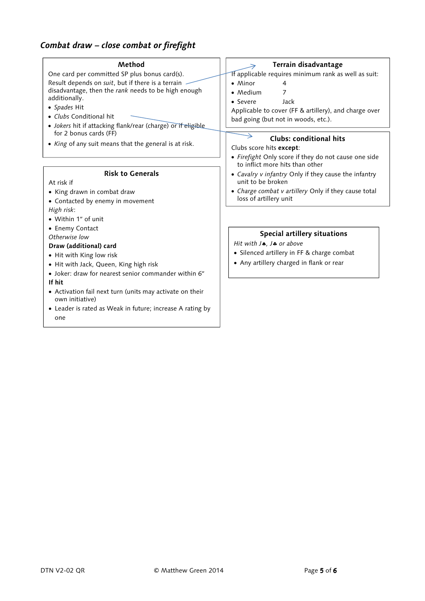# **Combat draw – close combat or firefight**

| Method                                                       | Terrain disadvantage                                  |
|--------------------------------------------------------------|-------------------------------------------------------|
| One card per committed SP plus bonus card(s).                | If applicable requires minimum rank as well as suit:  |
| Result depends on suit, but if there is a terrain            | $\bullet$ Minor<br>4                                  |
| disadvantage, then the rank needs to be high enough          | • Medium                                              |
| additionally.                                                | Jack<br>• Severe                                      |
| • Spades Hit                                                 | Applicable to cover (FF & artillery), and charge over |
| • Clubs Conditional hit                                      | bad going (but not in woods, etc.).                   |
| · Jokers hit if attacking flank/rear (charge) or if eligible |                                                       |
| for 2 bonus cards (FF)                                       | Clubs: conditional hits                               |
| • King of any suit means that the general is at risk.        | Clubs score hits except:                              |
|                                                              | • Firefight Only score if they do not cause one side  |
|                                                              | to inflict more hits than other                       |
| <b>Risk to Generals</b>                                      | • Cavalry v infantry Only if they cause the infantry  |
| At risk if                                                   | unit to be broken                                     |
| • King drawn in combat draw                                  | • Charge combat v artillery Only if they cause total  |
| • Contacted by enemy in movement                             | loss of artillery unit                                |
| High risk:                                                   |                                                       |
| • Within 1" of unit                                          |                                                       |
| • Enemy Contact                                              |                                                       |
| Otherwise low                                                | Special artillery situations                          |
| Draw (additional) card                                       | Hit with $J$ , $J$ or above                           |
| • Hit with King low risk                                     | • Silenced artillery in FF & charge combat            |
| • Hit with Jack, Queen, King high risk                       | • Any artillery charged in flank or rear              |
| • Joker: draw for nearest senior commander within 6"         |                                                       |
| If hit                                                       |                                                       |
| • Activation fail next turn (units may activate on their     |                                                       |
| own initiative)                                              |                                                       |
| • Leader is rated as Weak in future; increase A rating by    |                                                       |
| one                                                          |                                                       |
|                                                              |                                                       |